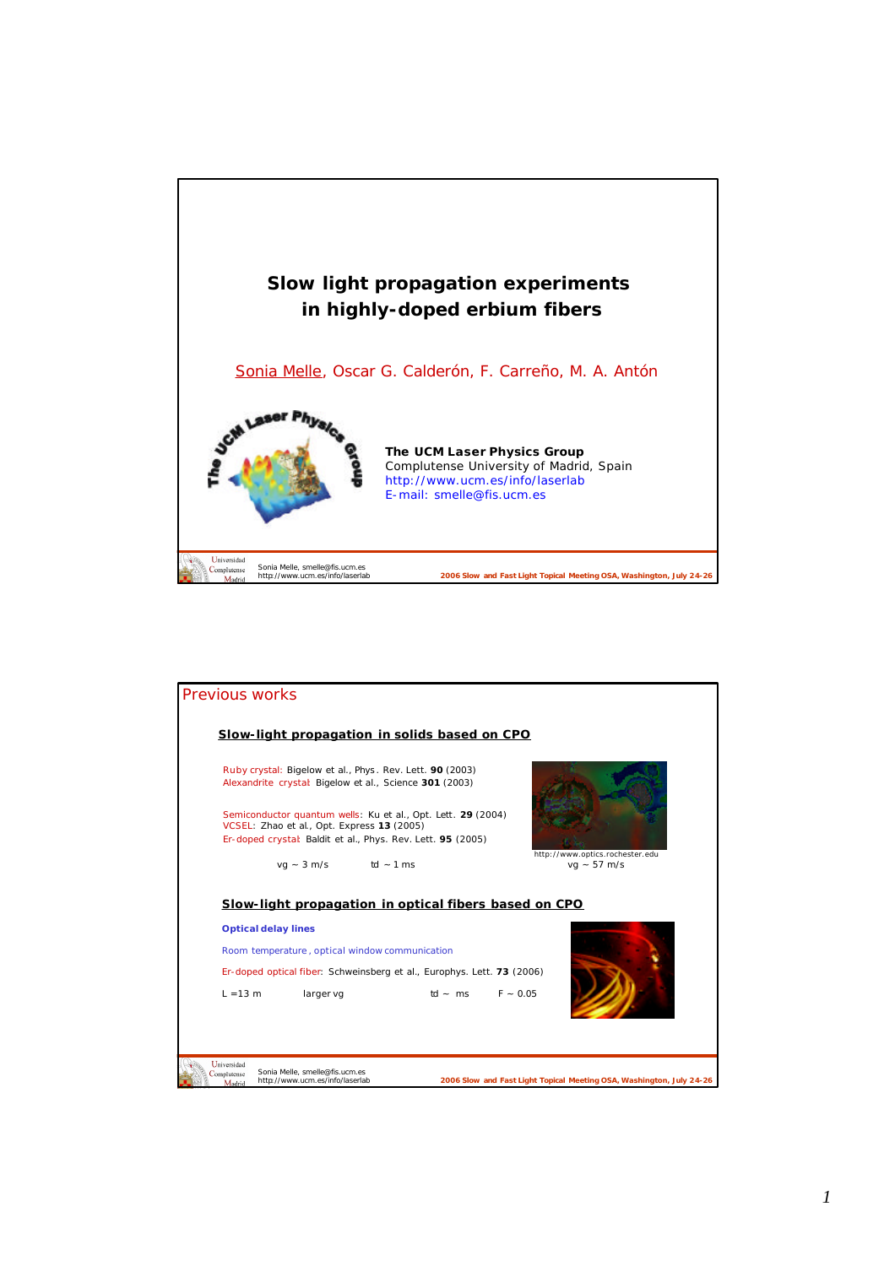

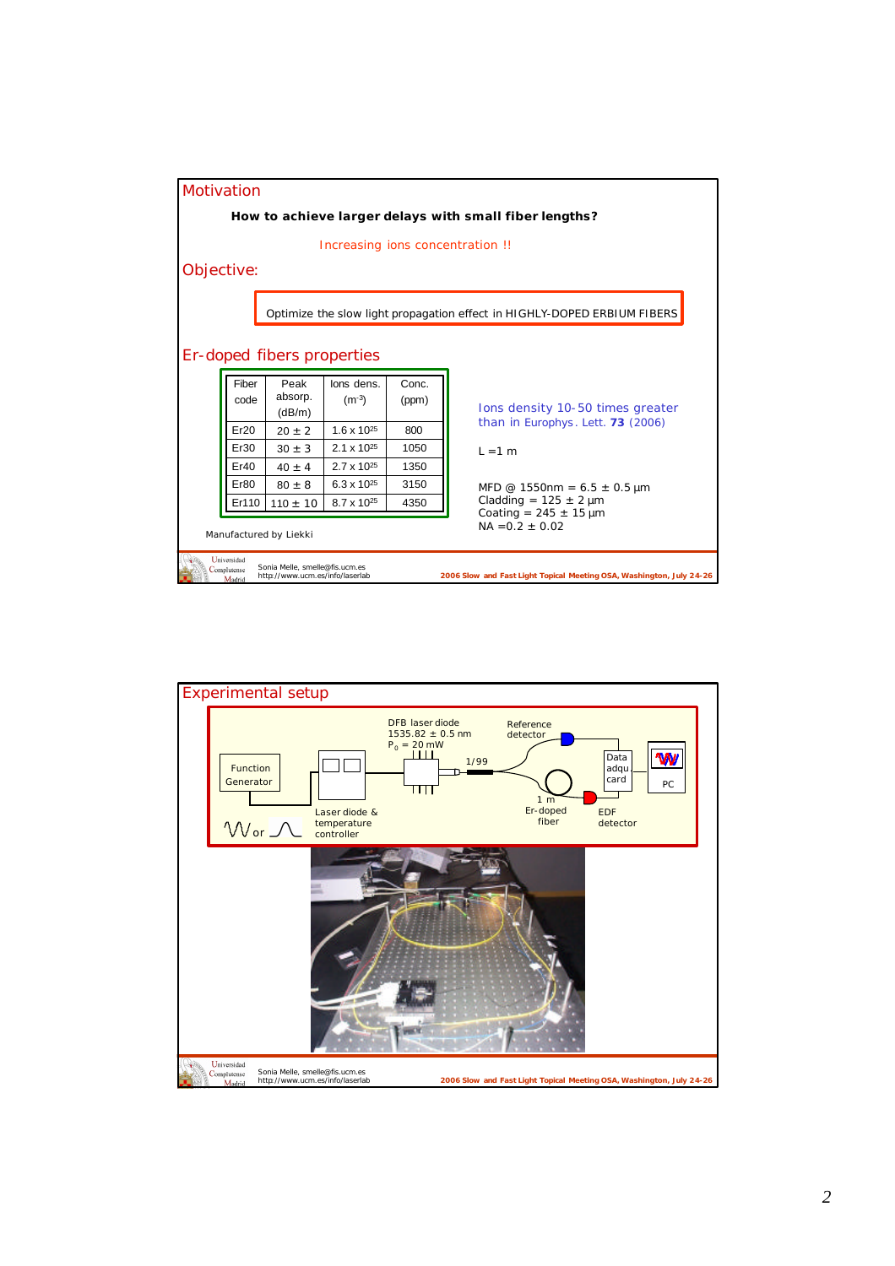

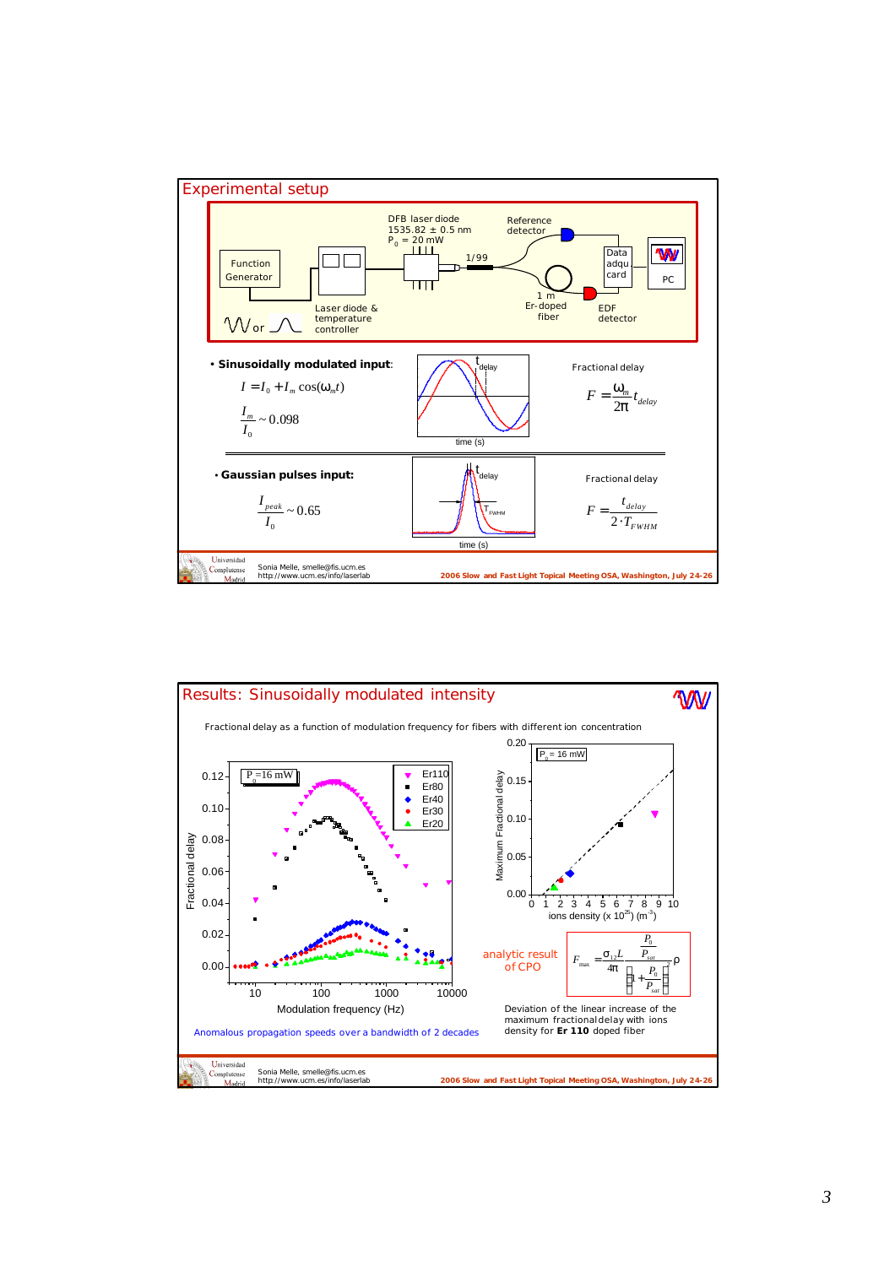

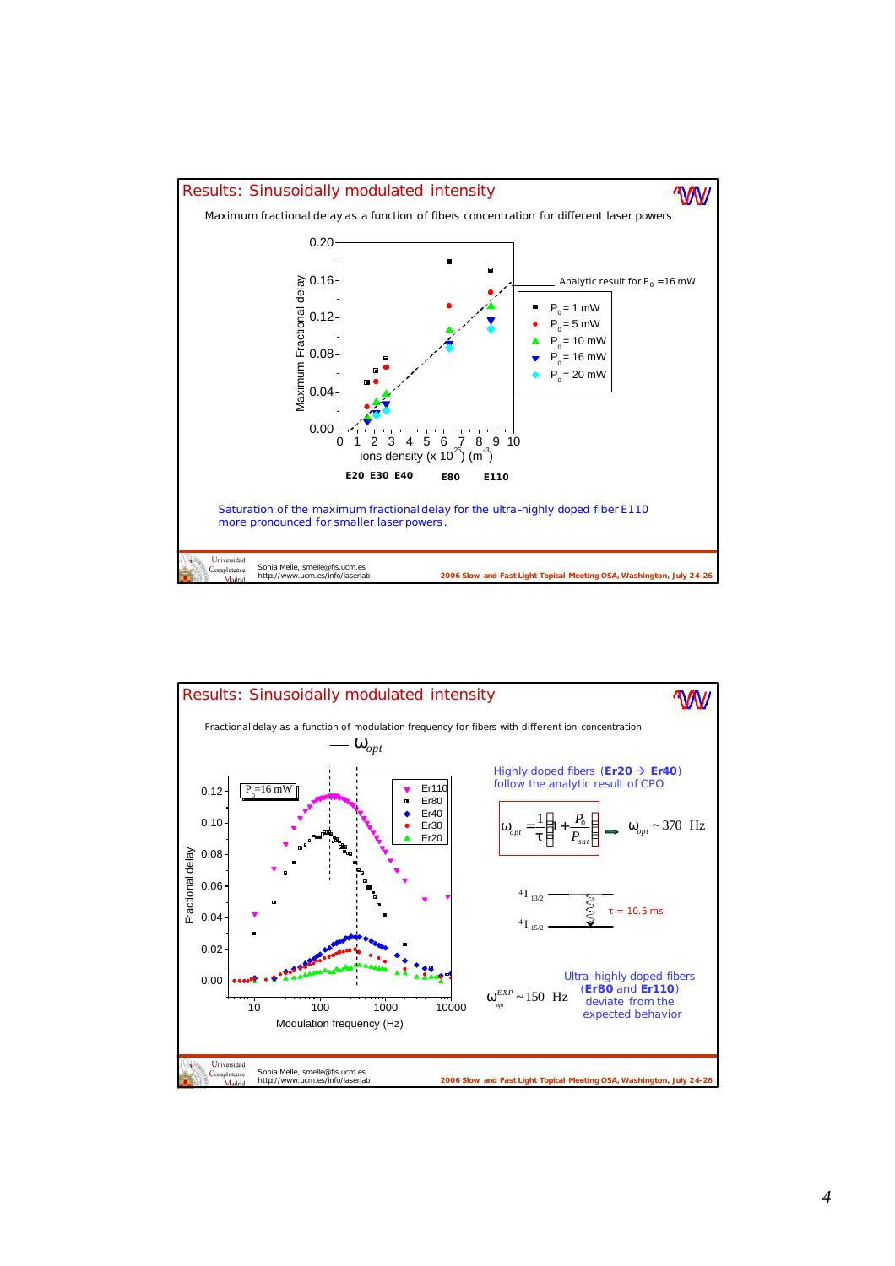

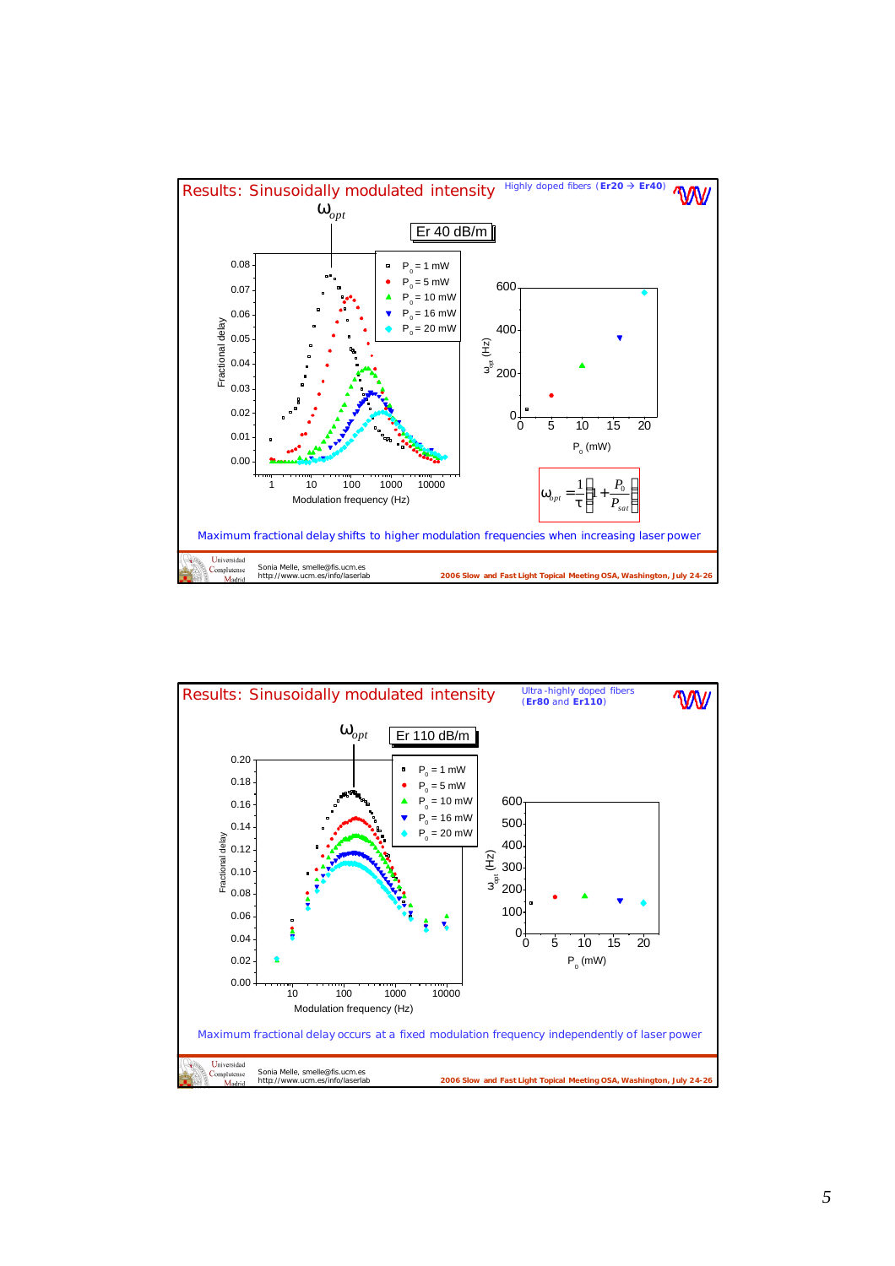

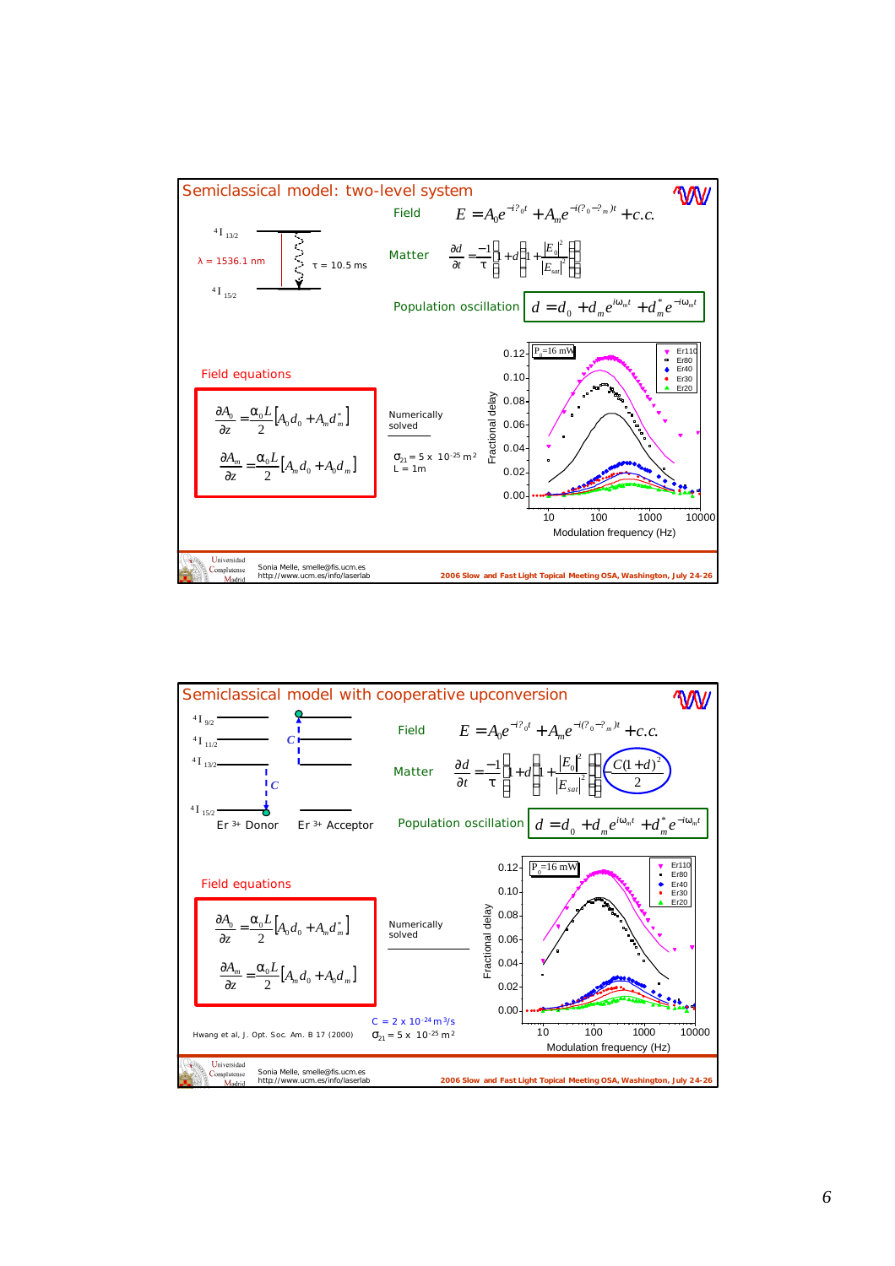

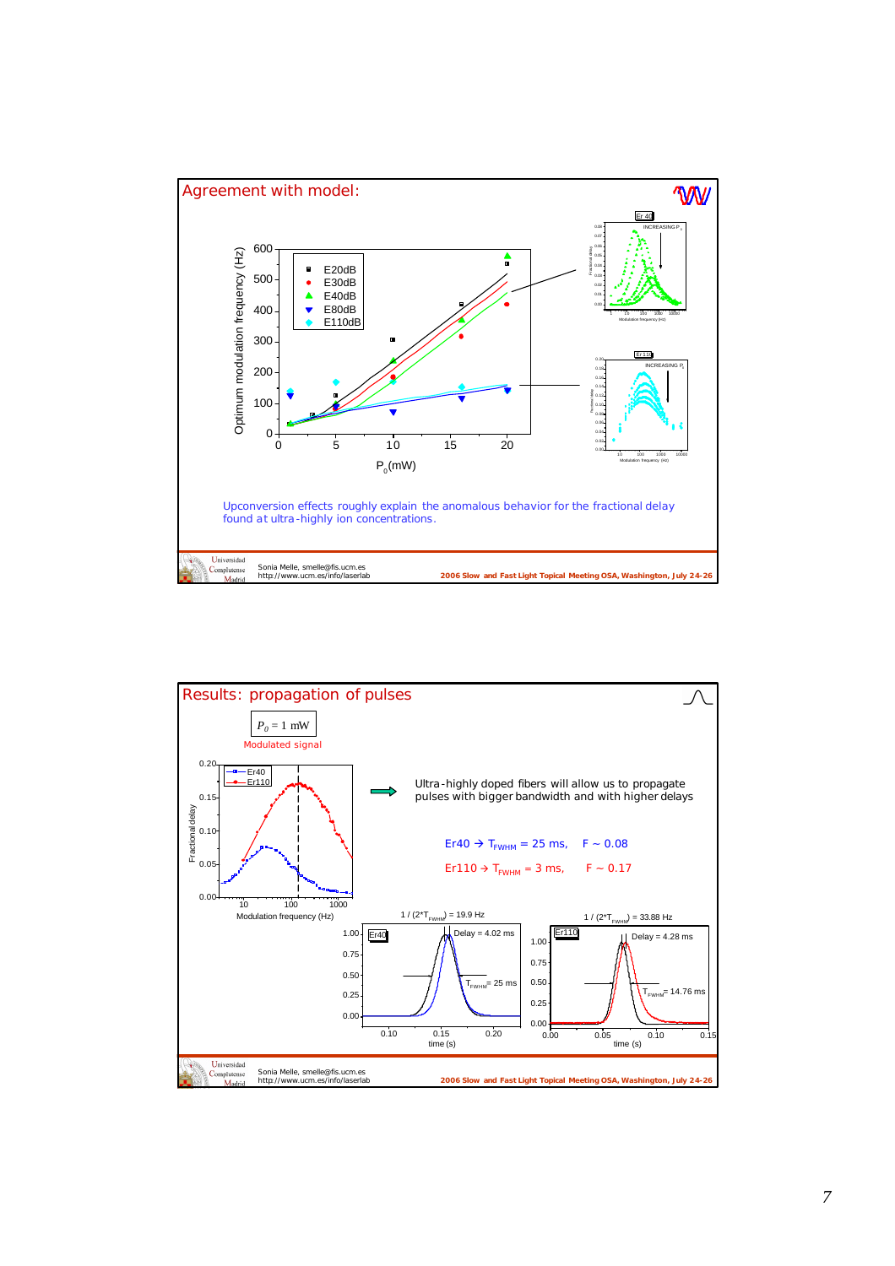

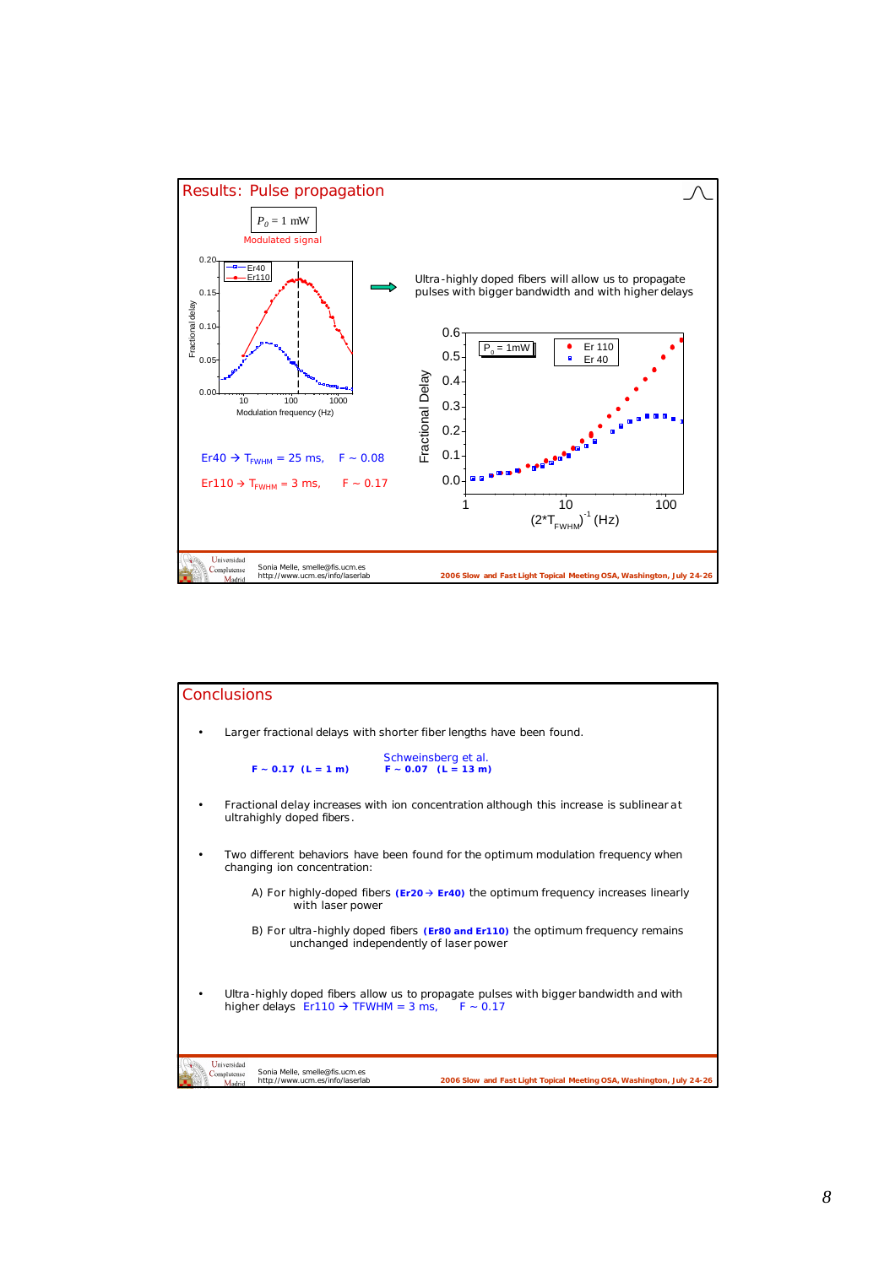

| <b>Conclusions</b>                                                                                                                                                                |
|-----------------------------------------------------------------------------------------------------------------------------------------------------------------------------------|
| Larger fractional delays with shorter fiber lengths have been found.                                                                                                              |
| Schweinsberg et al.<br>$F \sim 0.17$ (L = 1 m)<br>$F \sim 0.07$ (L = 13 m)                                                                                                        |
| Fractional delay increases with ion concentration although this increase is sublinear at<br>ultrahighly doped fibers.                                                             |
| Two different behaviors have been found for the optimum modulation frequency when<br>changing ion concentration:                                                                  |
| A) For highly-doped fibers ( $Er20 \rightarrow Er40$ ) the optimum frequency increases linearly<br>with laser power                                                               |
| B) For ultra-highly doped fibers (Er80 and Er110) the optimum frequency remains<br>unchanged independently of laser power                                                         |
| Ultra-highly doped fibers allow us to propagate pulses with bigger bandwidth and with<br>higher delays $Er110 \rightarrow TFWHM = 3$ ms, $F \sim 0.17$                            |
| Universidad<br>Sonia Melle, smelle@fis.ucm.es<br>Complutense<br>2006 Slow and Fast Light Topical Meeting OSA, Washington, July 24-26<br>http://www.ucm.es/info/laserlab<br>Madrid |